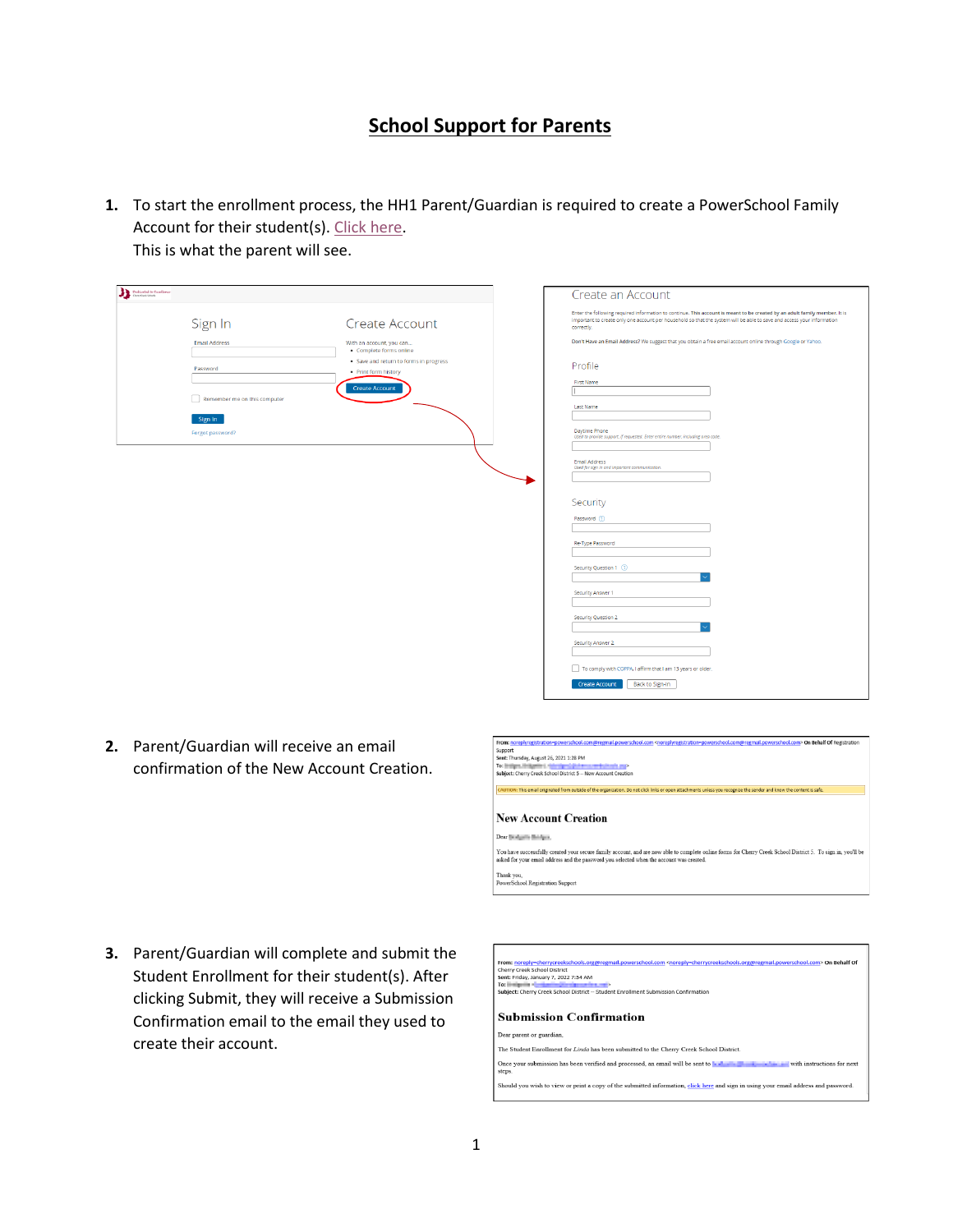# **School Support for Parents**

**1.** To start the enrollment process, the HH1 Parent/Guardian is required to create a PowerSchool Family Account for their student(s)[. Click here.](https://registration.powerschool.com/family/gosnap.aspx?action=28555) This is what the parent will see.

| <b>Dedicated to Excellence</b>                                              | Create an Account                                                                                                                                                                                                                                                  |
|-----------------------------------------------------------------------------|--------------------------------------------------------------------------------------------------------------------------------------------------------------------------------------------------------------------------------------------------------------------|
| Sign In<br>Create Account                                                   | Enter the following required information to continue. This account is meant to be created by an adult family member. It is<br>important to create only one account per household so that the system will be able to save and access your information<br>correctly. |
| <b>Email Address</b><br>With an account, you can<br>· Complete forms online | Don't Have an Email Address? We suggest that you obtain a free email account online through Google or Yahoo.                                                                                                                                                       |
| . Save and return to forms in progress<br>Password<br>· Print form history  | Profile                                                                                                                                                                                                                                                            |
| <b>Create Account</b><br>Remember me on this computer                       | <b>First Name</b>                                                                                                                                                                                                                                                  |
|                                                                             | <b>Last Name</b>                                                                                                                                                                                                                                                   |
| Sign In<br>Forgot password?                                                 | Daytime Phone<br>Used to provide support, if requested. Enter entire number, including area code.                                                                                                                                                                  |
|                                                                             | Email Address<br>Used for sign in and important communication.                                                                                                                                                                                                     |
|                                                                             |                                                                                                                                                                                                                                                                    |
|                                                                             | Security                                                                                                                                                                                                                                                           |
|                                                                             | Password (?)                                                                                                                                                                                                                                                       |
|                                                                             | Re-Type Password                                                                                                                                                                                                                                                   |
|                                                                             | Security Question 1 2                                                                                                                                                                                                                                              |
|                                                                             | Security Answer 1                                                                                                                                                                                                                                                  |
|                                                                             |                                                                                                                                                                                                                                                                    |
|                                                                             | Security Question 2                                                                                                                                                                                                                                                |
|                                                                             | Security Answer 2                                                                                                                                                                                                                                                  |
|                                                                             | To comply with COPPA, I affirm that I am 13 years or older.                                                                                                                                                                                                        |
|                                                                             | Back to Sign-In<br><b>Create Account</b>                                                                                                                                                                                                                           |

**2.** Parent/Guardian will receive an email confirmation of the New Account Creation.



**3.** Parent/Guardian will complete and submit the Student Enrollment for their student(s). After clicking Submit, they will receive a Submission Confirmation email to the email they used to create their account.

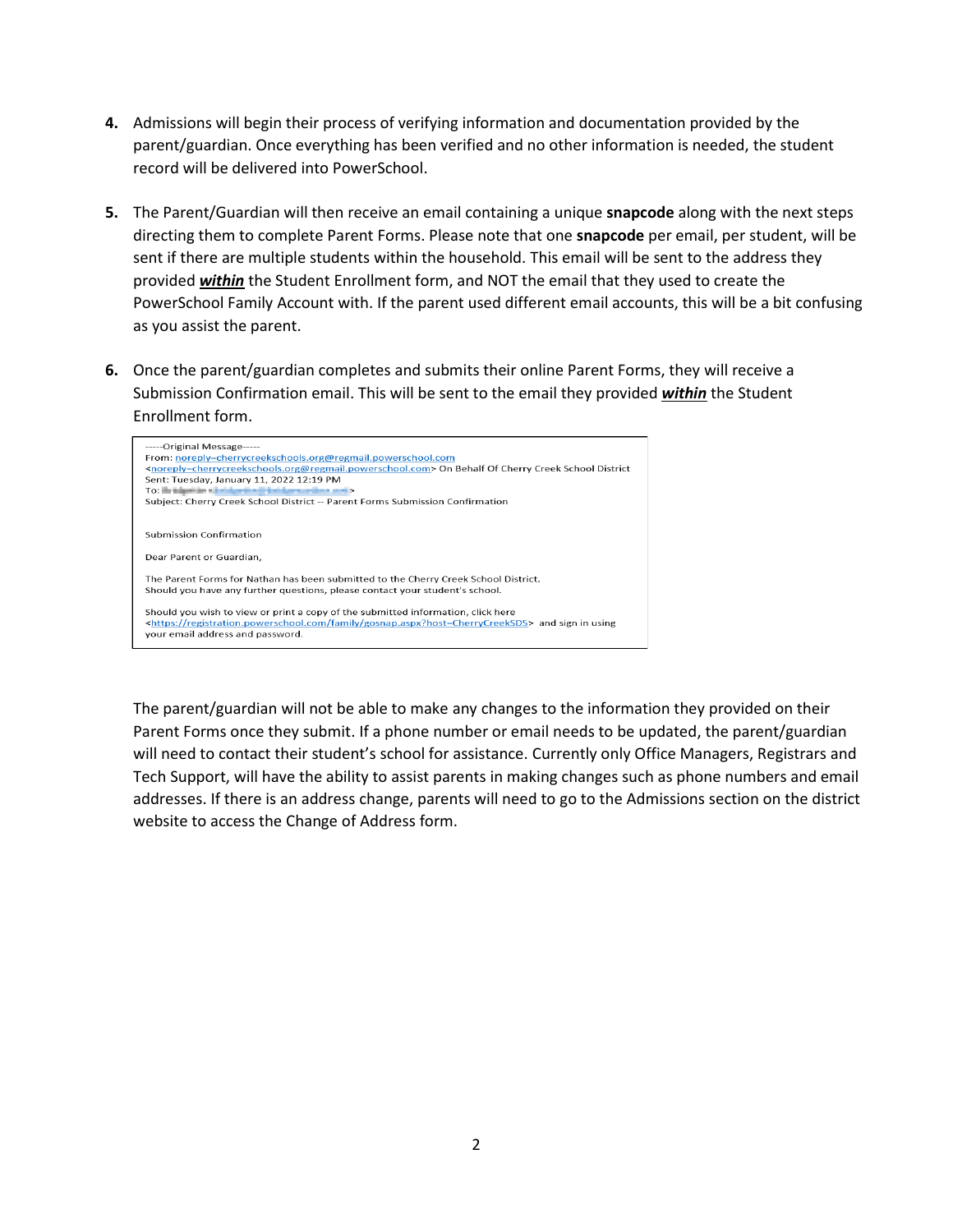- **4.** Admissions will begin their process of verifying information and documentation provided by the parent/guardian. Once everything has been verified and no other information is needed, the student record will be delivered into PowerSchool.
- **5.** The Parent/Guardian will then receive an email containing a unique **snapcode** along with the next steps directing them to complete Parent Forms. Please note that one **snapcode** per email, per student, will be sent if there are multiple students within the household. This email will be sent to the address they provided *within* the Student Enrollment form, and NOT the email that they used to create the PowerSchool Family Account with. If the parent used different email accounts, this will be a bit confusing as you assist the parent.
- **6.** Once the parent/guardian completes and submits their online Parent Forms, they will receive a Submission Confirmation email. This will be sent to the email they provided *within* the Student Enrollment form.



The parent/guardian will not be able to make any changes to the information they provided on their Parent Forms once they submit. If a phone number or email needs to be updated, the parent/guardian will need to contact their student's school for assistance. Currently only Office Managers, Registrars and Tech Support, will have the ability to assist parents in making changes such as phone numbers and email addresses. If there is an address change, parents will need to go to the Admissions section on the district website to access the Change of Address form.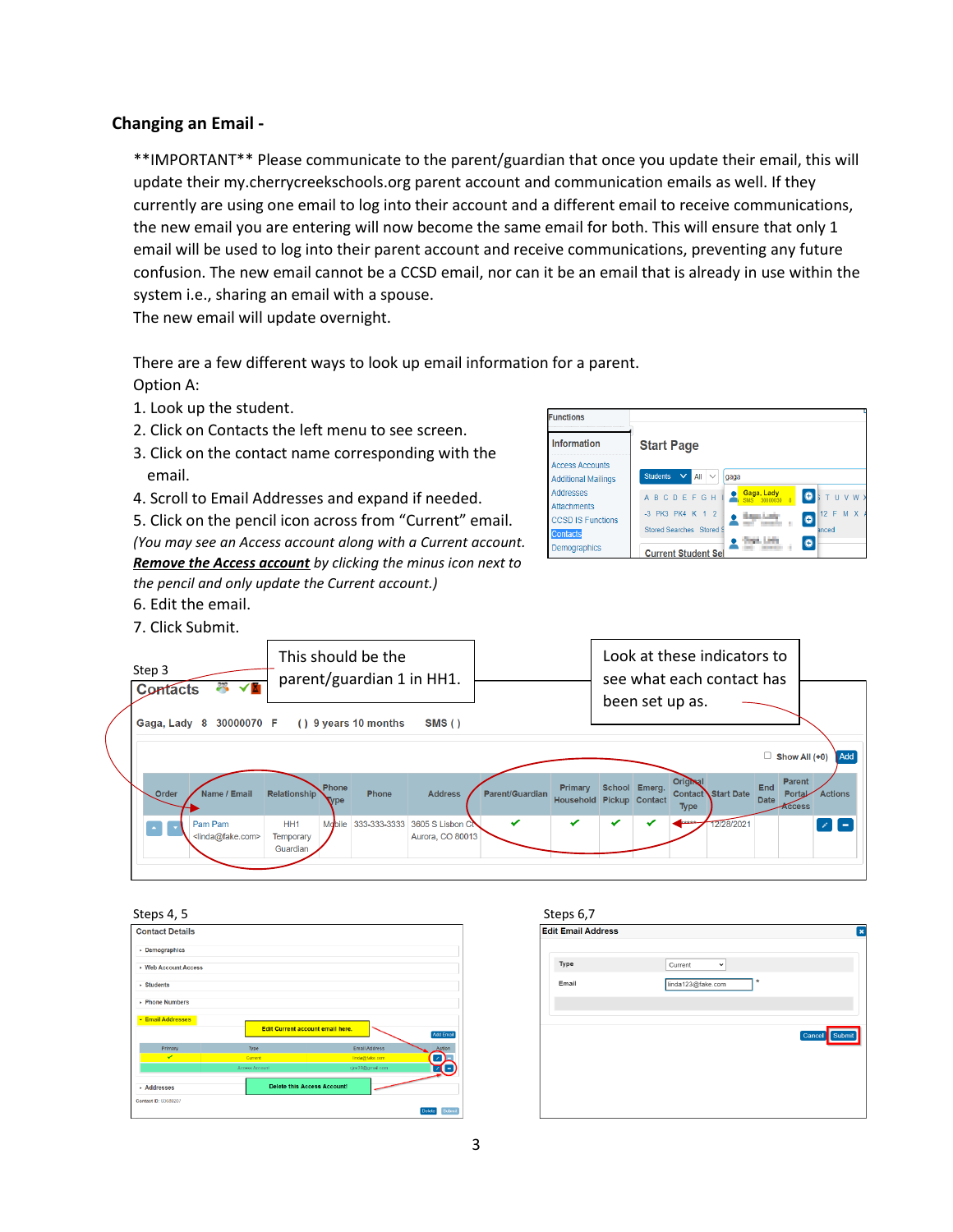# **Changing an Email -**

\*\*IMPORTANT\*\* Please communicate to the parent/guardian that once you update their email, this will update their my.cherrycreekschools.org parent account and communication emails as well. If they currently are using one email to log into their account and a different email to receive communications, the new email you are entering will now become the same email for both. This will ensure that only 1 email will be used to log into their parent account and receive communications, preventing any future confusion. The new email cannot be a CCSD email, nor can it be an email that is already in use within the system i.e., sharing an email with a spouse.

The new email will update overnight.

There are a few different ways to look up email information for a parent. Option A:

- 1. Look up the student.
- 2. Click on Contacts the left menu to see screen.
- 3. Click on the contact name corresponding with the email.
- 4. Scroll to Email Addresses and expand if needed.

5. Click on the pencil icon across from "Current" email. *(You may see an Access account along with a Current account. Remove the Access account by clicking the minus icon next to the pencil and only update the Current account.)*

- 6. Edit the email.
- 7. Click Submit.







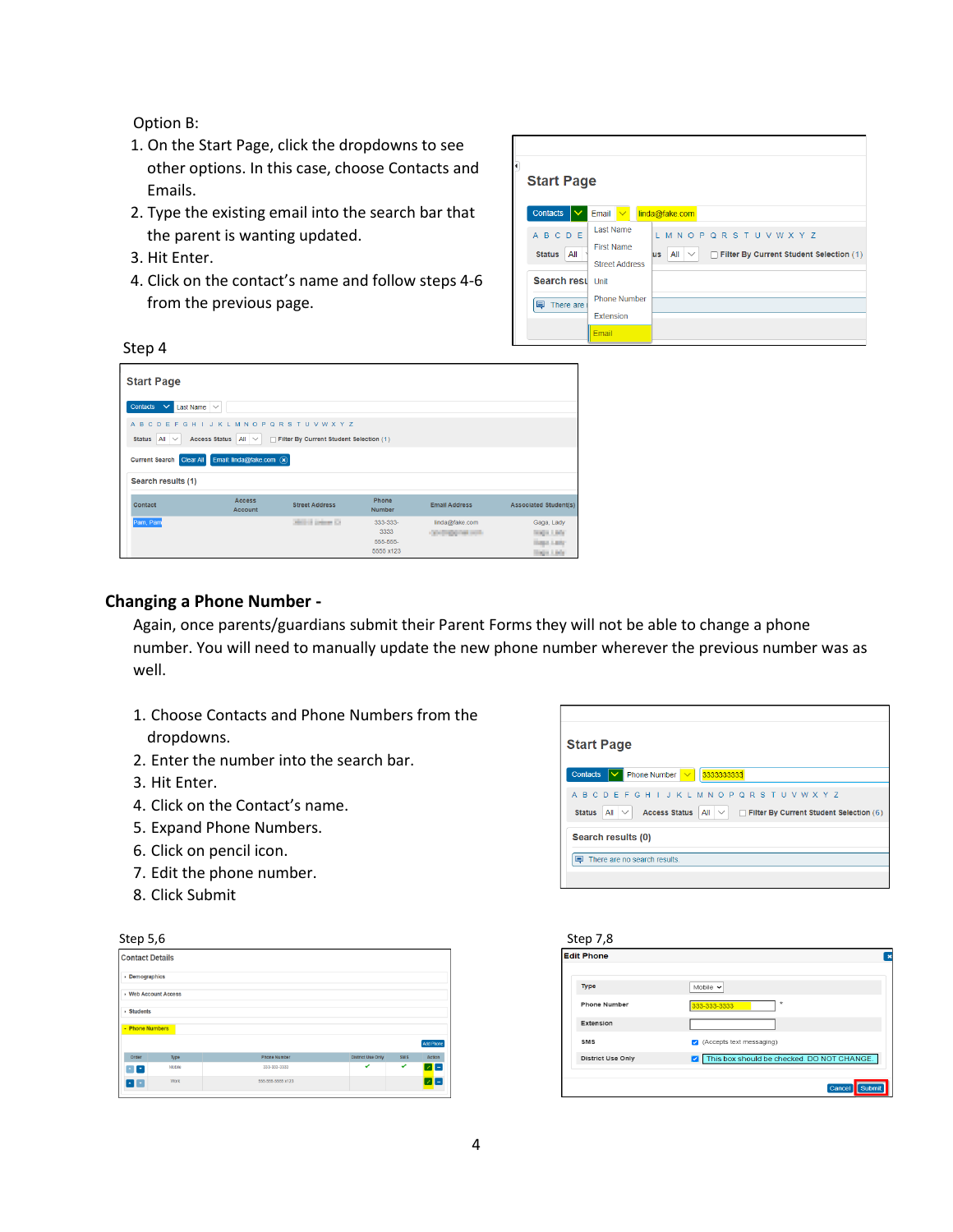Option B:

- 1. On the Start Page, click the dropdowns to see other options. In this case, choose Contacts and Emails.
- 2. Type the existing email into the search bar that the parent is wanting updated.
- 3. Hit Enter.
- 4. Click on the contact's name and follow steps 4-6 from the previous page.

|                                                  | <b>Start Page</b>                                              |                                                                                                     |  |  |  |
|--------------------------------------------------|----------------------------------------------------------------|-----------------------------------------------------------------------------------------------------|--|--|--|
| Contacts                                         | Email $\sqrt{}$                                                | linda@fake.com                                                                                      |  |  |  |
| <b>ABCDE</b><br><b>Status</b><br>All             | <b>Last Name</b><br><b>First Name</b><br><b>Street Address</b> | L M N O P Q R S T U V W X Y Z<br>All $\vee$<br>Filter By Current Student Selection (1)<br><b>us</b> |  |  |  |
| Search resul Unit<br>There are<br>$\blacksquare$ | <b>Phone Number</b>                                            |                                                                                                     |  |  |  |
|                                                  | Extension<br>Email                                             |                                                                                                     |  |  |  |

| <b>Start Page</b>                                                                                                                                         |                       |                                           |                                         |                                                                         |  |  |
|-----------------------------------------------------------------------------------------------------------------------------------------------------------|-----------------------|-------------------------------------------|-----------------------------------------|-------------------------------------------------------------------------|--|--|
| Contacts<br>$\checkmark$<br>Last Name<br>$\checkmark$                                                                                                     |                       |                                           |                                         |                                                                         |  |  |
| A B C D E F G H I J K L M N O P Q R S T U V W X Y Z<br><b>Access Status</b><br>Status $All \vee$<br>Filter By Current Student Selection (1)<br>All $\vee$ |                       |                                           |                                         |                                                                         |  |  |
| Email: linda@fake.com $\left(\times\right)$<br><b>Current Search</b><br><b>Clear All</b>                                                                  |                       |                                           |                                         |                                                                         |  |  |
| Search results (1)                                                                                                                                        |                       |                                           |                                         |                                                                         |  |  |
| <b>Access</b><br>Contact<br><b>Account</b>                                                                                                                | <b>Street Address</b> | Phone<br><b>Number</b>                    | <b>Email Address</b>                    | <b>Associated Student(s)</b>                                            |  |  |
| Pam, Pam                                                                                                                                                  | Million Driver Co.    | 333-333-<br>3333<br>555-555-<br>5555 x123 | linda@fake.com<br>Controllegation costs | Gaga, Lady<br>Images Libria<br><b>Haran Lady</b><br><b>Tingin Links</b> |  |  |

## **Changing a Phone Number -**

Again, once parents/guardians submit their Parent Forms they will not be able to change a phone number. You will need to manually update the new phone number wherever the previous number was as well.

- 1. Choose Contacts and Phone Numbers from the dropdowns.
- 2. Enter the number into the search bar.
- 3. Hit Enter.
- 4. Click on the Contact's name.
- 5. Expand Phone Numbers.
- 6. Click on pencil icon.
- 7. Edit the phone number.
- 8. Click Submit

| <b>Start Page</b>                                                                                                                                                   |  |  |
|---------------------------------------------------------------------------------------------------------------------------------------------------------------------|--|--|
| Contacts<br>Phone Number $\  \vee \ $<br>3333333333<br>$\checkmark$                                                                                                 |  |  |
| A B C D E F G H I J K L M N O P Q R S T U V W X Y Z<br><b>Access Status</b><br>All $\vee$<br><b>Status</b><br>All $\vee$<br>Filter By Current Student Selection (6) |  |  |
| Search results (0)                                                                                                                                                  |  |  |
| ⊟<br>There are no search results.                                                                                                                                   |  |  |
|                                                                                                                                                                     |  |  |

| Step 7,8                 |                                                      |
|--------------------------|------------------------------------------------------|
| <b>Edit Phone</b>        | $\boldsymbol{\mathsf{x}}$                            |
| Type                     | Mobile $\vee$                                        |
| <b>Phone Number</b>      | $\star$<br>333-333-3333                              |
| Extension                |                                                      |
| <b>SMS</b>               | (Accepts text messaging)<br>$\overline{\mathcal{L}}$ |
| <b>District Use Only</b> | This box should be checked. DO NOT CHANGE.<br>▽      |
|                          | Cancel<br>Submit                                     |